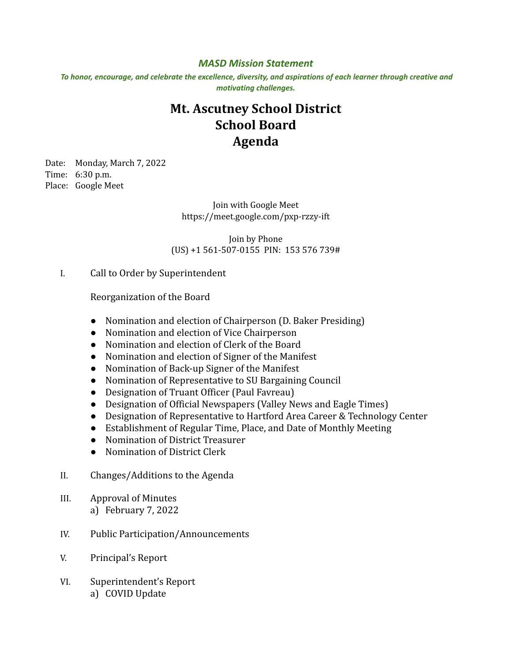## *MASD Mission Statement*

To honor, encourage, and celebrate the excellence, diversity, and aspirations of each learner through creative and *motivating challenges.*

## **Mt. Ascutney School District School Board Agenda**

Date: Monday, March 7, 2022 Time: 6:30 p.m. Place: Google Meet

> Join with Google Meet https://meet.google.com/pxp-rzzy-ift

Join by Phone (US) +1 561-507-0155 PIN: 153 576 739#

## I. Call to Order by Superintendent

Reorganization of the Board

- Nomination and election of Chairperson (D. Baker Presiding)
- Nomination and election of Vice Chairperson
- Nomination and election of Clerk of the Board
- Nomination and election of Signer of the Manifest
- Nomination of Back-up Signer of the Manifest
- Nomination of Representative to SU Bargaining Council
- Designation of Truant Officer (Paul Favreau)
- Designation of Official Newspapers (Valley News and Eagle Times)
- Designation of Representative to Hartford Area Career & Technology Center
- Establishment of Regular Time, Place, and Date of Monthly Meeting
- Nomination of District Treasurer
- Nomination of District Clerk
- II. Changes/Additions to the Agenda
- III. Approval of Minutes a) February 7, 2022
- IV. Public Participation/Announcements
- V. Principal's Report
- VI. Superintendent's Report a) COVID Update